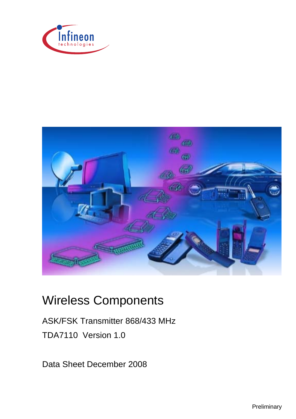



## Wireless Components

ASK/FSK Transmitter 868/433 MHz TDA7110 Version 1.0

Data Sheet December 2008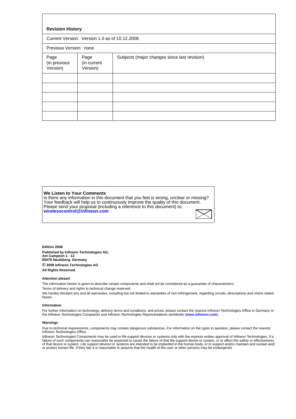|                                  | <b>Revision History</b>                       |                                              |  |
|----------------------------------|-----------------------------------------------|----------------------------------------------|--|
|                                  | Current Version: Version 1.0 as of 10.12.2008 |                                              |  |
|                                  | Previous Version: none                        |                                              |  |
| Page<br>(in previous<br>Version) | Page<br>(in current<br>Version)               | Subjects (major changes since last revision) |  |
|                                  |                                               |                                              |  |
|                                  |                                               |                                              |  |
|                                  |                                               |                                              |  |
|                                  |                                               |                                              |  |
|                                  |                                               |                                              |  |

#### **We Listen to Your Comments**

Is there any information in this document that you feel is wrong, unclear or missing? Your feedback will help us to continuously improve the quality of this document. Please send your proposal (including a reference to this document) to: **wirelesscontrol@infineon.com**

**Edition 2008**

**Published by Infineon Technologies AG, Am Campeon 1 - 12 85579 Neubiberg, Germany © 2008 Infineon Technologies AG All Rights Reserved.**

#### **Attention please!**

The information herein is given to describe certain components and shall not be considered as a guarantee of characteristics.

Terms of delivery and rights to technical change reserved.

We hereby disclaim any and all warranties, including but not limited to warranties of non-infringement, regarding circuits, descriptions and charts stated herein.

#### **Information**

For further information on technology, delivery terms and conditions, and prices, please contact the nearest Infineon Technologies Office in Germany or<br>the Infineon Technologies Companies and Infineon Technologies Represen

#### **Warnings**

Due to technical requirements, components may contain dangerous substances. For information on the types in question, please contact the nearest Infineon Technologies Office.

Infineon Technologies Components may be used in life-support devices or systems only with the express written approval of Infineon Technologies, if a<br>failure of such components can reasonably be expected to cause the failu of that device or system. Life support devices or systems are intended to be implanted in the human body, or to support and/or maintain and sustain and/<br>or protect human life. If they fail, it is reasonable to assume that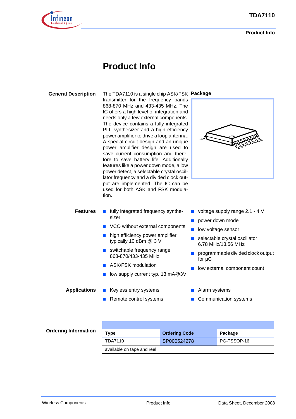



## Infineon

## **Product Info**

| <b>General Description</b>  | The TDA7110 is a single chip ASK/FSK Package<br>transmitter for the frequency bands<br>868-870 MHz and 433-435 MHz. The<br>IC offers a high level of integration and<br>needs only a few external components.<br>The device contains a fully integrated<br>PLL synthesizer and a high efficiency<br>power amplifier to drive a loop antenna.<br>A special circuit design and an unique<br>power amplifier design are used to<br>save current consumption and there-<br>fore to save battery life. Additionally<br>features like a power down mode, a low<br>power detect, a selectable crystal oscil-<br>lator frequency and a divided clock out-<br>put are implemented. The IC can be<br>used for both ASK and FSK modula-<br>tion. |                                                                                                                                                                                                                    |
|-----------------------------|---------------------------------------------------------------------------------------------------------------------------------------------------------------------------------------------------------------------------------------------------------------------------------------------------------------------------------------------------------------------------------------------------------------------------------------------------------------------------------------------------------------------------------------------------------------------------------------------------------------------------------------------------------------------------------------------------------------------------------------|--------------------------------------------------------------------------------------------------------------------------------------------------------------------------------------------------------------------|
| <b>Features</b>             | <b>u</b> fully integrated frequency synthe-<br>sizer<br>VCO without external components<br>high efficiency power amplifier<br>typically 10 dBm @ 3 V<br>switchable frequency range<br>868-870/433-435 MHz<br><b>ASK/FSK</b> modulation<br>low supply current typ. 13 mA@3V                                                                                                                                                                                                                                                                                                                                                                                                                                                            | voltage supply range 2.1 - 4 V<br>power down mode<br>low voltage sensor<br>selectable crystal oscillator<br>6.78 MHz/13.56 MHz<br>programmable divided clock output<br>for $\mu$ C<br>low external component count |
| <b>Applications</b>         | Keyless entry systems<br>Remote control systems                                                                                                                                                                                                                                                                                                                                                                                                                                                                                                                                                                                                                                                                                       | Alarm systems<br>Communication systems                                                                                                                                                                             |
| <b>Ordering Information</b> | Tvna<br>Ordering Code                                                                                                                                                                                                                                                                                                                                                                                                                                                                                                                                                                                                                                                                                                                 | Dackano                                                                                                                                                                                                            |

| Type                       | <b>Ordering Code</b> | Package     |
|----------------------------|----------------------|-------------|
| TDA7110                    | SP000524278          | PG-TSSOP-16 |
| available on tape and reel |                      |             |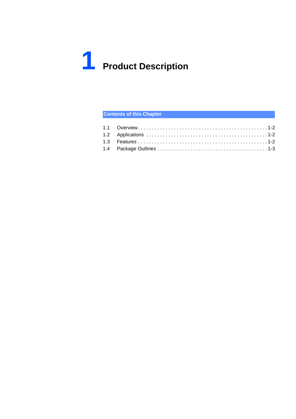# **1 Product Description**

### **Contents of this Chapter**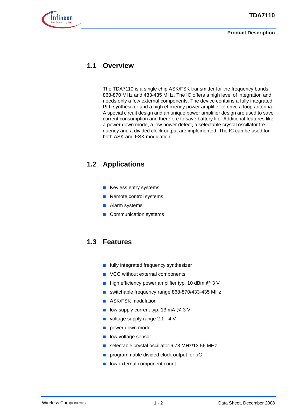#### **Product Description**



## <span id="page-4-0"></span>**1.1 Overview**

The TDA7110 is a single chip ASK/FSK transmitter for the frequency bands 868-870 MHz and 433-435 MHz. The IC offers a high level of integration and needs only a few external components. The device contains a fully integrated PLL synthesizer and a high efficiency power amplifier to drive a loop antenna. A special circuit design and an unique power amplifier design are used to save current consumption and therefore to save battery life. Additional features like a power down mode, a low power detect, a selectable crystal oscillator frequency and a divided clock output are implemented. The IC can be used for both ASK and FSK modulation.

## <span id="page-4-1"></span>**1.2 Applications**

- Keyless entry systems
- Remote control systems
- Alarm systems
- Communication systems

## <span id="page-4-2"></span>**1.3 Features**

- fully integrated frequency synthesizer
- VCO without external components
- high efficiency power amplifier typ. 10 dBm @ 3 V
- switchable frequency range 868-870/433-435 MHz
- ASK/FSK modulation
- low supply current typ. 13 mA @ 3 V
- voltage supply range 2.1 4 V
- power down mode
- low voltage sensor
- selectable crystal oscillator 6.78 MHz/13.56 MHz
- programmable divided clock output for µC
- low external component count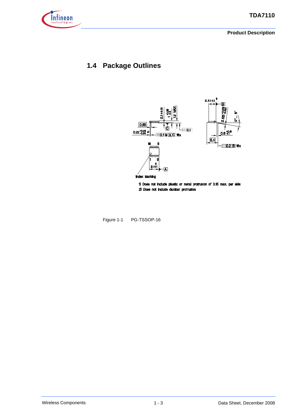

## <span id="page-5-0"></span>**1.4 Package Outlines**



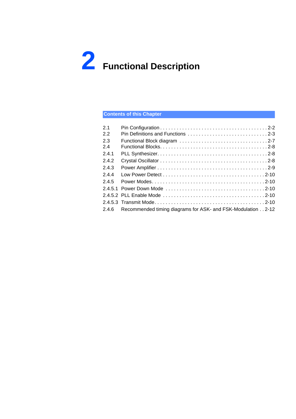# **2 Functional Description**

## **Contents of this Chapter**

| 2.1<br>2.2 |                                                              |
|------------|--------------------------------------------------------------|
| 2.3<br>2.4 |                                                              |
| 2.4.1      |                                                              |
| 2.4.2      |                                                              |
| 2.4.3      |                                                              |
| 2.4.4      |                                                              |
| 2.4.5      |                                                              |
|            |                                                              |
|            |                                                              |
|            |                                                              |
| 2.4.6      | Recommended timing diagrams for ASK- and FSK-Modulation 2-12 |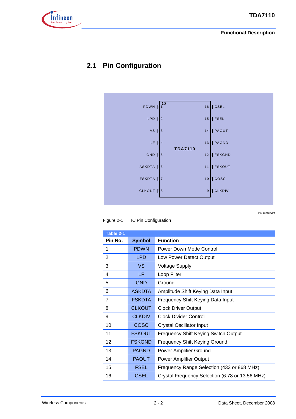

## <span id="page-7-0"></span>**2.1 Pin Configuration**



Pin\_config.wmf



| Table 2-1      |               |                                                 |
|----------------|---------------|-------------------------------------------------|
| Pin No.        | <b>Symbol</b> | <b>Function</b>                                 |
| 1              | <b>PDWN</b>   | Power Down Mode Control                         |
| $\overline{2}$ | <b>LPD</b>    | Low Power Detect Output                         |
| 3              | VS.           | <b>Voltage Supply</b>                           |
| 4              | LF            | Loop Filter                                     |
| 5              | <b>GND</b>    | Ground                                          |
| 6              | <b>ASKDTA</b> | Amplitude Shift Keying Data Input               |
| $\overline{7}$ | <b>FSKDTA</b> | Frequency Shift Keying Data Input               |
| 8              | <b>CLKOUT</b> | <b>Clock Driver Output</b>                      |
| 9              | <b>CLKDIV</b> | <b>Clock Divider Control</b>                    |
| 10             | <b>COSC</b>   | Crystal Oscillator Input                        |
| 11             | <b>FSKOUT</b> | <b>Frequency Shift Keying Switch Output</b>     |
| 12             | <b>FSKGND</b> | <b>Frequency Shift Keying Ground</b>            |
| 13             | <b>PAGND</b>  | <b>Power Amplifier Ground</b>                   |
| 14             | <b>PAOUT</b>  | <b>Power Amplifier Output</b>                   |
| 15             | <b>FSEL</b>   | Frequency Range Selection (433 or 868 MHz)      |
| 16             | <b>CSEL</b>   | Crystal Frequency Selection (6.78 or 13.56 MHz) |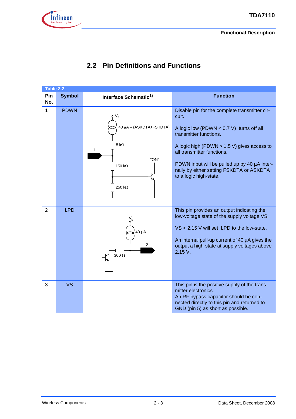

## **2.2 Pin Definitions and Functions**

<span id="page-8-0"></span>

|                | Table 2-2     |                                                                                                        |                                                                                                                                                                                                                                                                                                                                   |  |  |
|----------------|---------------|--------------------------------------------------------------------------------------------------------|-----------------------------------------------------------------------------------------------------------------------------------------------------------------------------------------------------------------------------------------------------------------------------------------------------------------------------------|--|--|
| Pin<br>No.     | <b>Symbol</b> | Interface Schematic <sup>1)</sup>                                                                      | <b>Function</b>                                                                                                                                                                                                                                                                                                                   |  |  |
| $\mathbf{1}$   | <b>PDWN</b>   | $\gamma V_s$<br>40 μA * (ASKDTA+FSKDTA)<br>$5 k\Omega$<br>1<br>"ON"<br>150 $k\Omega$<br>250 k $\Omega$ | Disable pin for the complete transmitter cir-<br>cuit.<br>A logic low (PDWN $<$ 0.7 V) turns off all<br>transmitter functions.<br>A logic high (PDWN > 1.5 V) gives access to<br>all transmitter functions.<br>PDWN input will be pulled up by 40 µA inter-<br>nally by either setting FSKDTA or ASKDTA<br>to a logic high-state. |  |  |
| $\overline{2}$ | <b>LPD</b>    | $V_{\rm s}$<br>40 µA<br>2<br>300 $\Omega$                                                              | This pin provides an output indicating the<br>low-voltage state of the supply voltage VS.<br>VS < 2.15 V will set LPD to the low-state.<br>An internal pull-up current of 40 µA gives the<br>output a high-state at supply voltages above<br>2.15V.                                                                               |  |  |
| 3              | <b>VS</b>     |                                                                                                        | This pin is the positive supply of the trans-<br>mitter electronics.<br>An RF bypass capacitor should be con-<br>nected directly to this pin and returned to<br>GND (pin 5) as short as possible.                                                                                                                                 |  |  |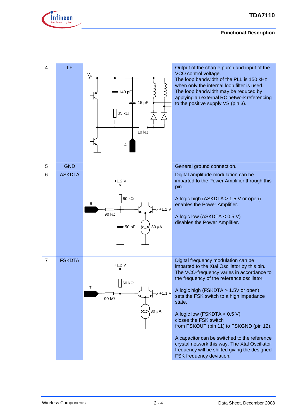

#### **Functional Description**

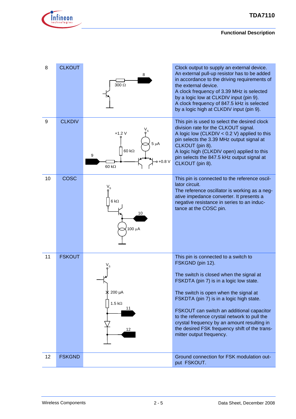

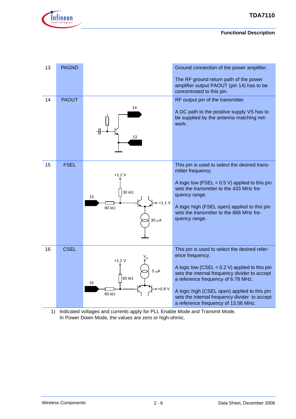#### **Functional Description**





1) Indicated voltages and currents apply for PLL Enable Mode and Transmit Mode. In Power Down Mode, the values are zero or high-ohmic.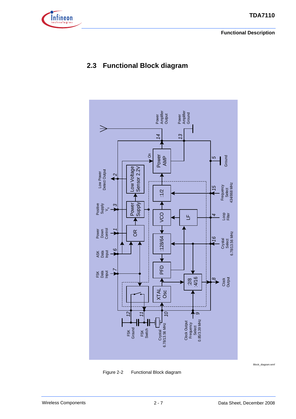

<span id="page-12-0"></span>

## **2.3 Functional Block diagram**

Block\_diagram.wmf

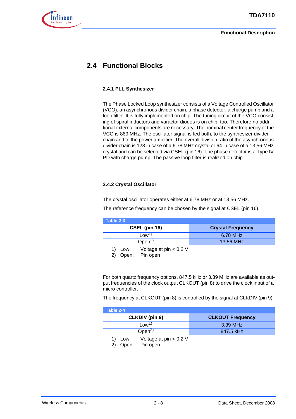

## <span id="page-13-0"></span>**2.4 Functional Blocks**

#### <span id="page-13-1"></span>**2.4.1 PLL Synthesizer**

The Phase Locked Loop synthesizer consists of a Voltage Controlled Oscillator (VCO), an asynchronous divider chain, a phase detector, a charge pump and a loop filter. It is fully implemented on chip. The tuning circuit of the VCO consisting of spiral inductors and varactor diodes is on chip, too. Therefore no additional external components are necessary. The nominal center frequency of the VCO is 869 MHz. The oscillator signal is fed both, to the synthesizer divider chain and to the power amplifier. The overall division ratio of the asynchronous divider chain is 128 in case of a 6.78 MHz crystal or 64 in case of a 13.56 MHz crystal and can be selected via CSEL (pin 16). The phase detector is a Type IV PD with charge pump. The passive loop filter is realized on chip.

#### <span id="page-13-2"></span>**2.4.2 Crystal Oscillator**

The crystal oscillator operates either at 6.78 MHz or at 13.56 MHz.

The reference frequency can be chosen by the signal at CSEL (pin 16).

| Table 2-3                                                   |                          |
|-------------------------------------------------------------|--------------------------|
| CSEL (pin 16)                                               | <b>Crystal Frequency</b> |
| $Low^{1)}$                                                  | 6.78 MHz                 |
| Open <sup>2)</sup>                                          | 13.56 MHz                |
| Voltage at $pin < 0.2$ V<br>Low:<br>Open:<br>Pin open<br>2) |                          |

For both quartz frequency options, 847.5 kHz or 3.39 MHz are available as output frequencies of the clock output CLKOUT (pin 8) to drive the clock input of a micro controller.

The frequency at CLKOUT (pin 8) is controlled by the signal at CLKDIV (pin 9)

| Table 2-4                                                                         |                         |
|-----------------------------------------------------------------------------------|-------------------------|
| <b>CLKDIV</b> (pin 9)                                                             | <b>CLKOUT Frequency</b> |
| $Low^{1)}$                                                                        | 3.39 MHz                |
| Open <sup>2)</sup>                                                                | 847.5 kHz               |
| Voltage at $pin < 0.2$ V<br>1)<br>Low:<br>ΩÎ.<br>$\bigcap_{n \geq n}$<br>Din anon |                         |

2) Open: Pin open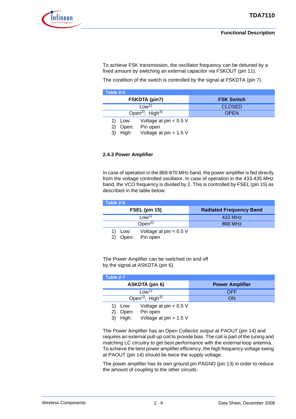

To achieve FSK transmission, the oscillator frequency can be detuned by a fixed amount by switching an external capacitor via FSKOUT (pin 11).

The condition of the switch is controlled by the signal at FSKDTA (pin 7).

| Table 2-5                                                                                                  |                   |
|------------------------------------------------------------------------------------------------------------|-------------------|
| <b>FSKDTA (pin7)</b>                                                                                       | <b>FSK Switch</b> |
| Low <sup>1</sup>                                                                                           | <b>CLOSED</b>     |
| Open <sup>2)</sup> , High <sup>3)</sup>                                                                    | <b>OPEN</b>       |
| Voltage at $pin < 0.5$ V<br>1)<br>Low:<br>Open:<br>2)<br>Pin open<br>Voltage at pin > 1.5 V<br>High:<br>3) |                   |

#### <span id="page-14-0"></span>**2.4.3 Power Amplifier**

In case of operation in the 868-870 MHz band, the power amplifier is fed directly from the voltage controlled oscillator. In case of operation in the 433-435 MHz band, the VCO frequency is divided by 2. This is controlled by FSEL (pin 15) as described in the table below.

| Table 2-6 '                      |                                |
|----------------------------------|--------------------------------|
| FSEL (pin 15)                    | <b>Radiated Frequency Band</b> |
| Low <sup>1</sup>                 | 433 MHz                        |
| Open <sup>2)</sup>               | 868 MHz                        |
| Voltage at $pin < 0.5$ V<br>Low: |                                |

2) Open: Pin open

The Power Amplifier can be switched on and off by the signal at ASKDTA (pin 6).

| Table 2-7                               |                        |
|-----------------------------------------|------------------------|
| <b>ASKDTA</b> (pin 6)                   | <b>Power Amplifier</b> |
| Low''                                   | OFF                    |
| Open <sup>2)</sup> , High <sup>3)</sup> | ON                     |
| 1) Low: Voltage at $pin < 0.5$ V        |                        |
| Open: Pin open<br>2)                    |                        |

3) High: Voltage at pin > 1.5 V

The Power Amplifier has an Open Collector output at PAOUT (pin 14) and requires an external pull-up coil to provide bias. The coil is part of the tuning and matching LC circuitry to get best performance with the external loop antenna. To achieve the best power amplifier efficiency, the high frequency voltage swing at PAOUT (pin 14) should be twice the supply voltage.

The power amplifier has its own ground pin PAGND (pin 13) in order to reduce the amount of coupling to the other circuits.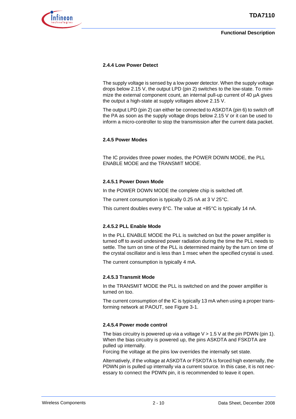#### **Functional Description**



#### <span id="page-15-0"></span>**2.4.4 Low Power Detect**

The supply voltage is sensed by a low power detector. When the supply voltage drops below 2.15 V, the output LPD (pin 2) switches to the low-state. To minimize the external component count, an internal pull-up current of 40 µA gives the output a high-state at supply voltages above 2.15 V.

The output LPD (pin 2) can either be connected to ASKDTA (pin 6) to switch off the PA as soon as the supply voltage drops below 2.15 V or it can be used to inform a micro-controller to stop the transmission after the current data packet.

#### <span id="page-15-1"></span>**2.4.5 Power Modes**

The IC provides three power modes, the POWER DOWN MODE, the PLL ENABLE MODE and the TRANSMIT MODE.

#### <span id="page-15-2"></span>**2.4.5.1 Power Down Mode**

In the POWER DOWN MODE the complete chip is switched off.

The current consumption is typically 0.25 nA at 3 V 25°C.

This current doubles every 8°C. The value at +85°C is typically 14 nA.

#### <span id="page-15-3"></span>**2.4.5.2 PLL Enable Mode**

In the PLL ENABLE MODE the PLL is switched on but the power amplifier is turned off to avoid undesired power radiation during the time the PLL needs to settle. The turn on time of the PLL is determined mainly by the turn on time of the crystal oscillator and is less than 1 msec when the specified crystal is used.

The current consumption is typically 4 mA.

#### <span id="page-15-4"></span>**2.4.5.3 Transmit Mode**

In the TRANSMIT MODE the PLL is switched on and the power amplifier is turned on too.

The current consumption of the IC is typically 13 mA when using a proper transforming network at PAOUT, see [Figure 3-1](#page-21-0).

#### **2.4.5.4 Power mode control**

The bias circuitry is powered up via a voltage  $V > 1.5$  V at the pin PDWN (pin 1). When the bias circuitry is powered up, the pins ASKDTA and FSKDTA are pulled up internally.

Forcing the voltage at the pins low overrides the internally set state.

Alternatively, if the voltage at ASKDTA or FSKDTA is forced high externally, the PDWN pin is pulled up internally via a current source. In this case, it is not necessary to connect the PDWN pin, it is recommended to leave it open.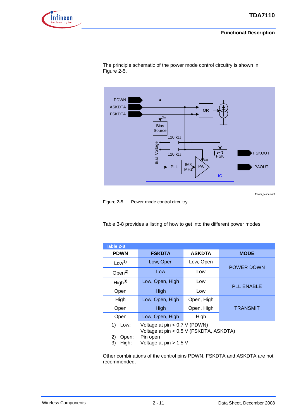



The principle schematic of the power mode control circuitry is shown in [Figure 2-5](#page-16-0).

Power\_Mode.wmf

<span id="page-16-0"></span>Figure 2-5 Power mode control circuitry

Table 3-8 provides a listing of how to get into the different power modes

| Table 2-8                                                                                                                                                    |                                |            |                   |  |  |  |
|--------------------------------------------------------------------------------------------------------------------------------------------------------------|--------------------------------|------------|-------------------|--|--|--|
| <b>PDWN</b>                                                                                                                                                  | <b>FSKDTA</b><br><b>ASKDTA</b> |            | <b>MODE</b>       |  |  |  |
| Low <sup>1</sup>                                                                                                                                             | Low, Open                      | Low, Open  | <b>POWER DOWN</b> |  |  |  |
| Open <sup>2</sup>                                                                                                                                            | Low                            | Low        |                   |  |  |  |
| High <sup>3</sup>                                                                                                                                            | Low, Open, High                | Low        | <b>PLL ENABLE</b> |  |  |  |
| Open                                                                                                                                                         | <b>High</b>                    | Low        |                   |  |  |  |
| High                                                                                                                                                         | Low, Open, High                | Open, High |                   |  |  |  |
| Open                                                                                                                                                         | High                           | Open, High | <b>TRANSMIT</b>   |  |  |  |
| Open                                                                                                                                                         | Low, Open, High                | High       |                   |  |  |  |
| Voltage at pin < 0.7 V (PDWN)<br>1)<br>Low:<br>Voltage at pin < 0.5 V (FSKDTA, ASKDTA)<br>2)<br>Pin open<br>Open:<br>Voltage at $pin > 1.5 V$<br>3)<br>High: |                                |            |                   |  |  |  |

Other combinations of the control pins PDWN, FSKDTA and ASKDTA are not recommended.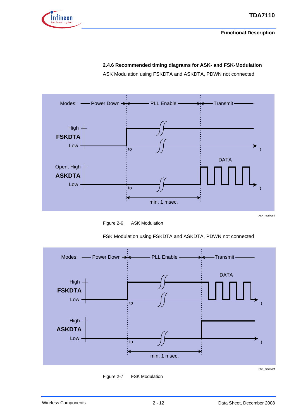ASK\_mod.wmf



## **FSKDTA** High -Low to **ASKDTA** to min. 1 msec. t t DATA Open, High  $Low$   $\rightarrow$ Modes: — Power Down  $\rightarrow$  - PLL Enable -  $\rightarrow$  - Transmit-

## <span id="page-17-0"></span>**2.4.6 Recommended timing diagrams for ASK- and FSK-Modulation**

ASK Modulation using FSKDTA and ASKDTA, PDWN not connected

Figure 2-6 ASK Modulation



FSK Modulation using FSKDTA and ASKDTA, PDWN not connected

Figure 2-7 FSK Modulation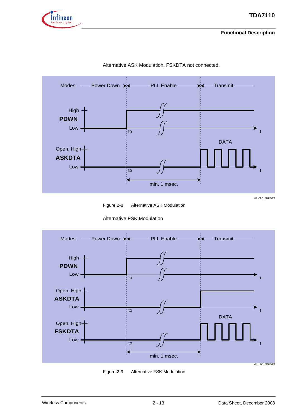

**Functional Description**



Alternative ASK Modulation, FSKDTA not connected.

Figure 2-8 Alternative ASK Modulation





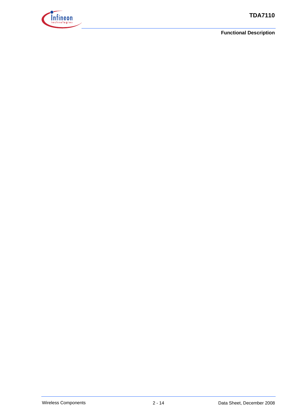

**Functional Description**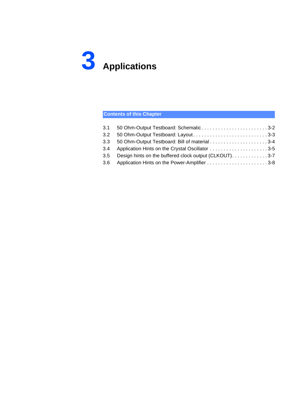

## **Contents of this Chapter**

| 3.1 50 Ohm-Output Testboard: Schematic3-2                   |  |
|-------------------------------------------------------------|--|
| 3.2 50 Ohm-Output Testboard: Layout3-3                      |  |
|                                                             |  |
|                                                             |  |
| 3.5 Design hints on the buffered clock output (CLKOUT). 3-7 |  |
|                                                             |  |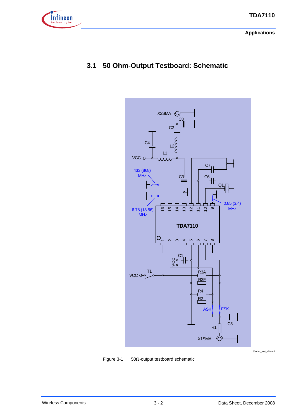

## <span id="page-21-1"></span>**3.1 50 Ohm-Output Testboard: Schematic**



50ohm\_test\_v5.wmf

#### <span id="page-21-0"></span>Figure 3-1 50Ω-output testboard schematic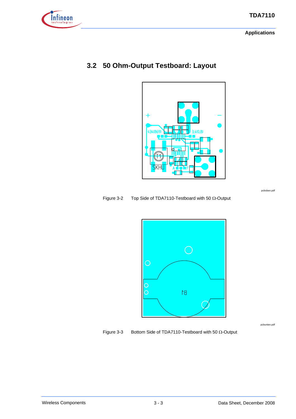



## <span id="page-22-0"></span>**3.2 50 Ohm-Output Testboard: Layout**



pcboben.pdf

Figure 3-2 Top Side of TDA7110-Testboard with 50 Ω-Output



pcbunten.pdf

Figure 3-3 Bottom Side of TDA7110-Testboard with 50 Ω-Output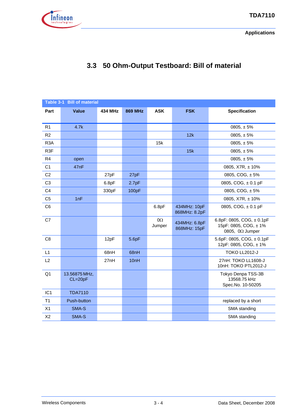

<span id="page-23-0"></span>

|                  | Table 3-1 Bill of material |                |                  |                    |                               |                                                                                 |
|------------------|----------------------------|----------------|------------------|--------------------|-------------------------------|---------------------------------------------------------------------------------|
| Part             | <b>Value</b>               | <b>434 MHz</b> | <b>869 MHz</b>   | <b>ASK</b>         | <b>FSK</b>                    | Specification                                                                   |
| R <sub>1</sub>   | 4.7k                       |                |                  |                    |                               | $0805, \pm 5\%$                                                                 |
| R <sub>2</sub>   |                            |                |                  |                    | 12k                           | $0805, \pm 5\%$                                                                 |
| R <sub>3</sub> A |                            |                |                  | 15k                |                               | $0805, \pm 5\%$                                                                 |
| R3F              |                            |                |                  |                    | 15k                           | $0805, \pm 5\%$                                                                 |
| R <sub>4</sub>   | open                       |                |                  |                    |                               | $0805, \pm 5\%$                                                                 |
| C <sub>1</sub>   | 47 <sub>nF</sub>           |                |                  |                    |                               | 0805, X7R, ± 10%                                                                |
| C <sub>2</sub>   |                            | 27pF           | 27pF             |                    |                               | 0805, COG, $\pm$ 5%                                                             |
| C <sub>3</sub>   |                            | 6.8pF          | 2.7pF            |                    |                               | 0805, COG, $\pm$ 0.1 pF                                                         |
| C <sub>4</sub>   |                            | 330pF          | 100pF            |                    |                               | 0805, COG, $\pm$ 5%                                                             |
| C <sub>5</sub>   | 1nF                        |                |                  |                    |                               | 0805, X7R, ± 10%                                                                |
| C <sub>6</sub>   |                            |                |                  | 6.8pF              | 434MHz: 10pF<br>868MHz: 8.2pF | 0805, COG, $\pm$ 0.1 pF                                                         |
| C7               |                            |                |                  | $\Omega$<br>Jumper | 434MHz: 6.8pF<br>868MHz: 15pF | 6.8pF: 0805, COG, $\pm$ 0.1pF<br>15pF: 0805, COG, ±1%<br>0805, $0\Omega$ Jumper |
| C <sub>8</sub>   |                            | 12pF           | 5.6pF            |                    |                               | 5.6pF: 0805, COG, $\pm$ 0.1pF<br>12pF: 0805, COG, ±1%                           |
| L1               |                            | 68nH           | 68nH             |                    |                               | TOKO LL2012-J                                                                   |
| L2               |                            | 27nH           | 10 <sub>nH</sub> |                    |                               | 27nH: TOKO LL1608-J<br>10nH: TOKO PTL2012-J                                     |
| Q <sub>1</sub>   | 13.56875 MHz,<br>$CL=20pF$ |                |                  |                    |                               | Tokyo Denpa TSS-3B<br>13568.75 kHz<br>Spec.No. 10-50205                         |
| IC <sub>1</sub>  | <b>TDA7110</b>             |                |                  |                    |                               |                                                                                 |
| T1               | Push-button                |                |                  |                    |                               | replaced by a short                                                             |
| X1               | SMA-S                      |                |                  |                    |                               | SMA standing                                                                    |
| X <sub>2</sub>   | SMA-S                      |                |                  |                    |                               | SMA standing                                                                    |

## **3.3 50 Ohm-Output Testboard: Bill of material**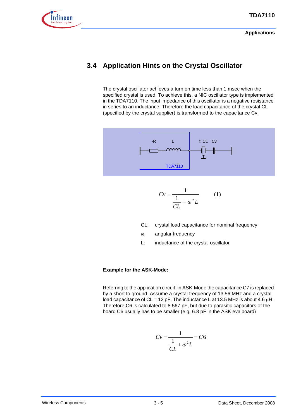

## <span id="page-24-0"></span>**3.4 Application Hints on the Crystal Oscillator**

The crystal oscillator achieves a turn on time less than 1 msec when the specified crystal is used. To achieve this, a NIC oscillator type is implemented in the TDA7110. The input impedance of this oscillator is a negative resistance in series to an inductance. Therefore the load capacitance of the crystal CL (specified by the crystal supplier) is transformed to the capacitance Cv.



$$
Cv = \frac{1}{\frac{1}{CL} + \omega^2 L} \tag{1}
$$

- CL: crystal load capacitance for nominal frequency
- ω: angular frequency
- L: inductance of the crystal oscillator

#### **Example for the ASK-Mode:**

Referring to the application circuit, in ASK-Mode the capacitance C7 is replaced by a short to ground. Assume a crystal frequency of 13.56 MHz and a crystal load capacitance of CL = 12 pF. The inductance L at 13.5 MHz is about 4.6  $\mu$ H. Therefore C6 is calculated to 8.567 pF, but due to parasitic capacitors of the board C6 usually has to be smaller (e.g. 6.8 pF in the ASK evalboard)

$$
Cv = \frac{1}{\frac{1}{CL} + \omega^2 L} = C6
$$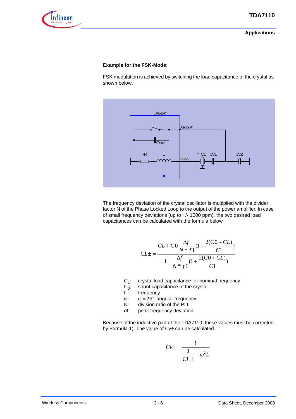

#### **Example for the FSK-Mode:**

FSK modulation is achieved by switching the load capacitance of the crystal as shown below.



The frequency deviation of the crystal oscillator is multiplied with the divider factor N of the Phase Locked Loop to the output of the power amplifier. In case of small frequency deviations (up to +/- 1000 ppm), the two desired load capacitances can be calculated with the formula below.

$$
CL \pm C1 = \frac{CL \mp C0 \frac{\Delta f}{N * f1} (1 + \frac{2(C0 + CL)}{C1})}{1 \pm \frac{\Delta f}{N * f1} (1 + \frac{2(C0 + CL)}{C1})}
$$

 $C_1$ : crystal load capacitance for nominal frequency  $C_0$ : shunt capacitance of the crystal

- $\overline{C_0}$ : shunt capacitance of the crystal<br>f: frequency
- frequency
- ω:  $ω = 2πf$ : angular frequency
- N: division ratio of the PLL
- df: peak frequency deviation

Because of the inductive part of the TDA7110, these values must be corrected by Formula 1). The value of Cv± can be calculated.

$$
Cv\pm = \frac{1}{\frac{1}{CL\pm} + \omega^2 L}
$$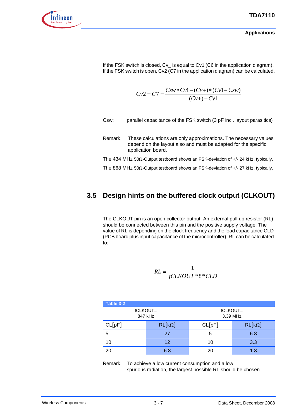

If the FSK switch is closed, Cv\_ is equal to Cv1 (C6 in the application diagram). If the FSK switch is open, Cv2 (C7 in the application diagram) can be calculated.

$$
Cv2 = C7 = \frac{Csw * Cv1 - (Cv+) * (Cv1 + Csw)}{(Cv+) - Cv1}
$$

- Csw: parallel capacitance of the FSK switch (3 pF incl. layout parasitics)
- Remark: These calculations are only approximations. The necessary values depend on the layout also and must be adapted for the specific application board.

The 434 MHz 50Ω-Output testboard shows an FSK-deviation of +/- 24 kHz, typically.

The 868 MHz 50Ω-Output testboard shows an FSK-deviation of +/- 27 kHz, typically.

## <span id="page-26-0"></span>**3.5 Design hints on the buffered clock output (CLKOUT)**

The CLKOUT pin is an open collector output. An external pull up resistor (RL) should be connected between this pin and the positive supply voltage. The value of RL is depending on the clock frequency and the load capacitance CLD (PCB board plus input capacitance of the microcontroller). RL can be calculated to:

$$
RL = \frac{1}{fCLKOUT * 8 * CLD}
$$

| Table 3-2 |                     |                      |               |  |
|-----------|---------------------|----------------------|---------------|--|
|           | fCLKOUT=<br>847 kHz | fCLKOUT=<br>3.39 MHz |               |  |
| CL[pF]    | $RL[ k\Omega ]$     | CL[pF]               | $RL[k\Omega]$ |  |
| 5         | 27                  | 5                    | 6.8           |  |
| 10        | 12                  | 10                   | 3.3           |  |
| 20        | 6.8                 | 20                   | 1.8           |  |

Remark: To achieve a low current consumption and a low spurious radiation, the largest possible RL should be chosen.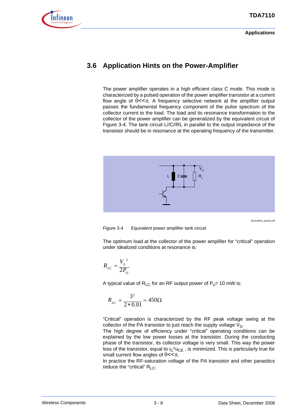

## <span id="page-27-0"></span>**3.6 Application Hints on the Power-Amplifier**

The power amplifier operates in a high efficient class C mode. This mode is characterized by a pulsed operation of the power amplifier transistor at a current flow angle of  $\theta$ << $\pi$ . A frequency selective network at the amplifier output passes the fundamental frequency component of the pulse spectrum of the collector current to the load. The load and its resonance transformation to the collector of the power amplifier can be generalized by the equivalent circuit of [Figure 3-4.](#page-27-1) The tank circuit L//C//RL in parallel to the output impedance of the transistor should be in resonance at the operating frequency of the transmitter.



Equivalent\_power.pdf

<span id="page-27-1"></span>Figure 3-4 Equivalent power amplifier tank circuit

The optimum load at the collector of the power amplifier for "critical" operation under idealized conditions at resonance is:

$$
R_{LC} = \frac{{V_s}^2}{2P_o}
$$

A typical value of  $R_{LC}$  for an RF output power of  $P_{o}=10$  mW is:

$$
R_{LC} = \frac{3^2}{2 \times 0.01} = 450 \Omega
$$

"Critical" operation is characterized by the RF peak voltage swing at the collector of the PA transistor to just reach the supply voltage  $V_S$ .

The high degree of efficiency under "critical" operating conditions can be explained by the low power losses at the transistor. During the conducting phase of the transistor, its collector voltage is very small. This way the power loss of the transistor, equal to  $i<sub>C</sub>^*u<sub>CE</sub>$ , is minimized. This is particularly true for small current flow angles of  $\theta < \pi$ .

In practice the RF-saturation voltage of the PA transistor and other parasitics reduce the "critical"  $R_{LC}$ .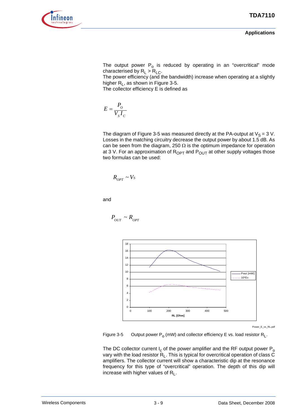

The output power  $P_0$  is reduced by operating in an "overcritical" mode characterised by  $R_L > R_{LC}$ .

The power efficiency (and the bandwidth) increase when operating at a slightly higher  $R_1$ , as shown in [Figure 3-5.](#page-28-0)

The collector efficiency E is defined as

$$
E = \frac{P_o}{V_s I_c}
$$

The diagram of [Figure 3-5](#page-28-0) was measured directly at the PA-output at  $V_S = 3$  V. Losses in the matching circuitry decrease the output power by about 1.5 dB. As can be seen from the diagram, 250  $\Omega$  is the optimum impedance for operation at 3 V. For an approximation of  $R_{\text{OPT}}$  and  $P_{\text{OUT}}$  at other supply voltages those two formulas can be used:

$$
R_{OPT} \sim V_S
$$

and

$$
P_{OUT} \sim R_{OPT}
$$



Power\_E\_vs\_RL.pdf

<span id="page-28-0"></span>Figure 3-5 Output power  $P_0$  (mW) and collector efficiency E vs. load resistor R<sub>L</sub>.

The DC collector current I<sub>c</sub> of the power amplifier and the RF output power P<sub>o</sub> vary with the load resistor  $\mathsf{R}_\mathsf{L}.$  This is typical for overcritical operation of class C amplifiers. The collector current will show a characteristic dip at the resonance frequency for this type of "overcritical" operation. The depth of this dip will increase with higher values of  $R_1$ .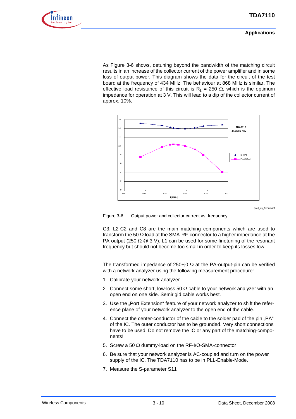

#### **Applications**

As [Figure 3-6](#page-29-0) shows, detuning beyond the bandwidth of the matching circuit results in an increase of the collector current of the power amplifier and in some loss of output power. This diagram shows the data for the circuit of the test board at the frequency of 434 MHz. The behaviour at 868 MHz is similar. The effective load resistance of this circuit is  $R_1 = 250 \Omega$ , which is the optimum impedance for operation at 3 V. This will lead to a dip of the collector current of approx. 10%.



pout\_vs\_frequ.wm

<span id="page-29-0"></span>Figure 3-6 Output power and collector current vs. frequency

C3, L2-C2 and C8 are the main matching components which are used to transform the 50  $\Omega$  load at the SMA-RF-connector to a higher impedance at the PA-output (250  $\Omega$  @ 3 V). L1 can be used for some finetuning of the resonant frequency but should not become too small in order to keep its losses low.

The transformed impedance of 250+j0  $\Omega$  at the PA-output-pin can be verified with a network analyzer using the following measurement procedure:

- 1. Calibrate your network analyzer.
- 2. Connect some short, low-loss 50  $\Omega$  cable to your network analyzer with an open end on one side. Semirigid cable works best.
- 3. Use the "Port Extension" feature of your network analyzer to shift the reference plane of your network analyzer to the open end of the cable.
- 4. Connect the center-conductor of the cable to the solder pad of the pin "PA" of the IC. The outer conductor has to be grounded. Very short connections have to be used. Do not remove the IC or any part of the matching-components!
- 5. Screw a 50 Ω dummy-load on the RF-I/O-SMA-connector
- 6. Be sure that your network analyzer is AC-coupled and turn on the power supply of the IC. The TDA7110 has to be in PLL-Enable-Mode.
- 7. Measure the S-parameter S11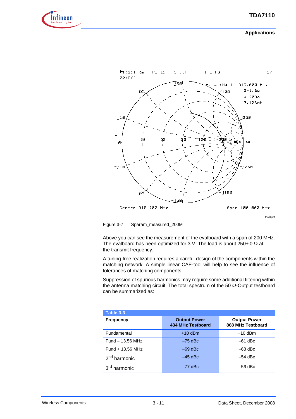

#### **Applications**





Above you can see the measurement of the evalboard with a span of 200 MHz. The evalboard has been optimized for 3 V. The load is about 250+j0  $\Omega$  at the transmit frequency.

A tuning-free realization requires a careful design of the components within the matching network. A simple linear CAE-tool will help to see the influence of tolerances of matching components.

Suppression of spurious harmonics may require some additional filtering within the antenna matching circuit. The total spectrum of the 50 Ω-Output testboard can be summarized as:

| Table 3-3                |                                                 |                                          |
|--------------------------|-------------------------------------------------|------------------------------------------|
| <b>Frequency</b>         | <b>Output Power</b><br><b>434 MHz Testboard</b> | <b>Output Power</b><br>868 MHz Testboard |
| Fundamental              | $+10$ dBm                                       | $+10$ dBm                                |
| Fund $-$ 13.56 MHz       | $-75$ dBc                                       | $-61$ dBc                                |
| Fund + 13.56 MHz         | $-69$ dBc                                       | $-63$ dBc                                |
| 2 <sup>nd</sup> harmonic | $-45$ dBc                                       | $-54$ dBc                                |
| 3 <sup>rd</sup> harmonic | $-77$ dBc                                       | $-56$ dBc                                |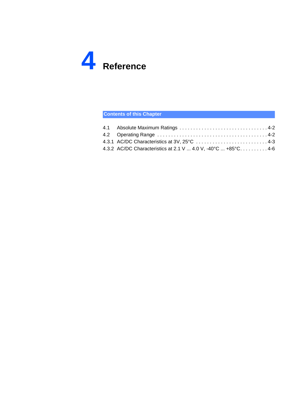

## **Contents of this Chapter**

| 4.3.1 AC/DC Characteristics at 3V, $25^{\circ}$ C 4-3         |  |
|---------------------------------------------------------------|--|
| 4.3.2 AC/DC Characteristics at 2.1 V  4.0 V, -40°C  +85°C 4-6 |  |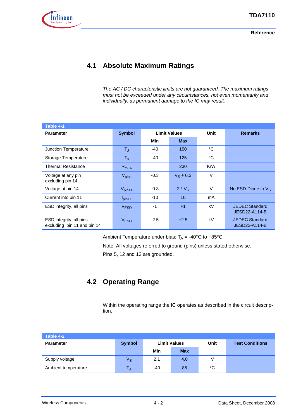

**Reference**

## <span id="page-32-0"></span>**4.1 Absolute Maximum Ratings**

*The AC / DC characteristic limits are not guaranteed. The maximum ratings must not be exceeded under any circumstances, not even momentarily and individually, as permanent damage to the IC may result.*

| Table 4-1                                              |                    |        |                     |             |                                        |  |  |
|--------------------------------------------------------|--------------------|--------|---------------------|-------------|----------------------------------------|--|--|
| <b>Parameter</b>                                       | <b>Symbol</b>      |        | <b>Limit Values</b> | <b>Unit</b> | <b>Remarks</b>                         |  |  |
|                                                        |                    | Min    | <b>Max</b>          |             |                                        |  |  |
| Junction Temperature                                   | $T_J$              | $-40$  | 150                 | °C          |                                        |  |  |
| Storage Temperature                                    | $T_{\rm s}$        | $-40$  | 125                 | °C          |                                        |  |  |
| <b>Thermal Resistance</b>                              | $R_{thJA}$         |        | 230                 | K/W         |                                        |  |  |
| Voltage at any pin<br>excluding pin 14                 | $V_{\text{pins}}$  | $-0.3$ | $V_S + 0.3$         | $\vee$      |                                        |  |  |
| Voltage at pin 14                                      | $V_{pin14}$        | $-0.3$ | $2 * V_{\rm S}$     | V           | No ESD-Diode to $V_S$                  |  |  |
| Current into pin 11                                    | I <sub>pin11</sub> | $-10$  | 10                  | mA          |                                        |  |  |
| ESD integrity, all pins                                | V <sub>ESD</sub>   | $-1$   | $+1$                | kV          | <b>JEDEC Standard</b><br>JESD22-A114-B |  |  |
| ESD integrity, all pins<br>excluding pin 11 and pin 14 | V <sub>ESD</sub>   | $-2.5$ | $+2.5$              | kV          | <b>JEDEC Standard</b><br>JESD22-A114-B |  |  |

Ambient Temperature under bias:  $T_A = -40^{\circ}C$  to  $+85^{\circ}C$ 

Note: All voltages referred to ground (pins) unless stated otherwise.

Pins 5, 12 and 13 are grounded.

## <span id="page-32-1"></span>**4.2 Operating Range**

Within the operating range the IC operates as described in the circuit description.

| Table 4-2           |               |     |                     |             |                        |  |  |  |  |
|---------------------|---------------|-----|---------------------|-------------|------------------------|--|--|--|--|
| <b>Parameter</b>    | <b>Symbol</b> |     | <b>Limit Values</b> | Unit        | <b>Test Conditions</b> |  |  |  |  |
|                     |               | Min | <b>Max</b>          |             |                        |  |  |  |  |
| Supply voltage      | $V_{\bf S}$   | 2.1 | 4.0                 |             |                        |  |  |  |  |
| Ambient temperature | ' A           | -40 | 85                  | $^{\circ}C$ |                        |  |  |  |  |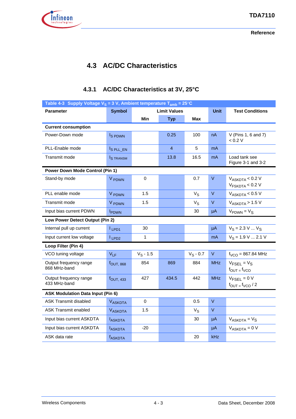## **4.3 AC/DC Characteristics**

## **4.3.1 AC/DC Characteristics at 3V, 25°C**

<span id="page-33-0"></span>

| Table 4-3 Supply Voltage $V_S = 3 V$ , Ambient temperature T <sub>amb</sub> = 25°C |                       |             |                     |             |              |                                              |  |  |  |
|------------------------------------------------------------------------------------|-----------------------|-------------|---------------------|-------------|--------------|----------------------------------------------|--|--|--|
| <b>Parameter</b>                                                                   | <b>Symbol</b>         |             | <b>Limit Values</b> |             | <b>Unit</b>  | <b>Test Conditions</b>                       |  |  |  |
|                                                                                    |                       | Min         | <b>Typ</b>          | Max         |              |                                              |  |  |  |
| <b>Current consumption</b>                                                         |                       |             |                     |             |              |                                              |  |  |  |
| Power-Down mode                                                                    | I <sub>S</sub> PDWN   |             | 0.25                | 100         | nA           | V (Pins 1, 6 and 7)<br>< 0.2 V               |  |  |  |
| PLL-Enable mode                                                                    | I <sub>S PLL_EN</sub> |             | $\overline{4}$      | 5           | mA           |                                              |  |  |  |
| Transmit mode                                                                      | <b>S TRANSM</b>       |             | 13.8                | 16.5        | mA           | Load tank see<br>Figure 3-1 and 3-2          |  |  |  |
| <b>Power Down Mode Control (Pin 1)</b>                                             |                       |             |                     |             |              |                                              |  |  |  |
| Stand-by mode                                                                      | V PDWN                | $\pmb{0}$   |                     | 0.7         | V            | $V_{ASKDTA}$ < 0.2 V<br>$V_{FSKDTA}$ < 0.2 V |  |  |  |
| PLL enable mode                                                                    | V PDWN                | 1.5         |                     | $V_S$       | $\vee$       | $V_{ASKDTA}$ < 0.5 V                         |  |  |  |
| Transmit mode                                                                      | V PDWN                | 1.5         |                     | $V_S$       | V            | $V_{ASKDTA}$ > 1.5 V                         |  |  |  |
| Input bias current PDWN                                                            | <b>IPDWN</b>          |             |                     | 30          | $\mu A$      | $V_{\text{PDWN}} = V_{\text{S}}$             |  |  |  |
| Low Power Detect Output (Pin 2)                                                    |                       |             |                     |             |              |                                              |  |  |  |
| Internal pull up current                                                           | $L_{PD1}$             | 30          |                     |             | $\mu A$      | $V_S = 2.3 V  V_S$                           |  |  |  |
| Input current low voltage                                                          | $l_{LPD2}$            | 1           |                     |             | <b>mA</b>    | $V_S = 1.9 V  2.1 V$                         |  |  |  |
| Loop Filter (Pin 4)                                                                |                       |             |                     |             |              |                                              |  |  |  |
| VCO tuning voltage                                                                 | $V_{LF}$              | $V_S - 1.5$ |                     | $V_S - 0.7$ | $\mathsf{V}$ | $f_{VCO} = 867.84 \text{ MHz}$               |  |  |  |
| Output frequency range<br>868 MHz-band                                             | $f_{\text{OUT}, 868}$ | 854         | 869                 | 884         | <b>MHz</b>   | $V_{FSFI} = V_S$<br>$f_{OUT} = f_{VCO}$      |  |  |  |
| Output frequency range<br>433 MHz-band                                             | $f_{\text{OUT}, 433}$ | 427         | 434.5               | 442         | <b>MHz</b>   | $V_{FSFI} = 0 V$<br>$f_{OUT} = f_{VCO} / 2$  |  |  |  |
| <b>ASK Modulation Data Input (Pin 6)</b>                                           |                       |             |                     |             |              |                                              |  |  |  |
| <b>ASK Transmit disabled</b>                                                       | <b>VASKDTA</b>        | $\Omega$    |                     | 0.5         | $\vee$       |                                              |  |  |  |
| <b>ASK Transmit enabled</b>                                                        | <b>VASKDTA</b>        | 1.5         |                     | $V_S$       | $\vee$       |                                              |  |  |  |
| Input bias current ASKDTA                                                          | <b>IASKDTA</b>        |             |                     | 30          | $\mu A$      | $V_{ASKDTA} = V_S$                           |  |  |  |
| Input bias current ASKDTA                                                          | <b>LASKDTA</b>        | $-20$       |                     |             | $\mu A$      | $V_{ASKDTA} = 0 V$                           |  |  |  |
| ASK data rate                                                                      | f <sub>ASKDTA</sub>   |             |                     | 20          | kHz          |                                              |  |  |  |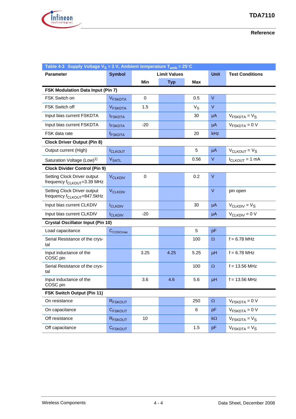#### **Reference**

| Table 4-3 Supply Voltage $V_S = 3 V$ , Ambient temperature T <sub>amb</sub> = 25°C |                           |             |                     |            |             |                        |  |  |
|------------------------------------------------------------------------------------|---------------------------|-------------|---------------------|------------|-------------|------------------------|--|--|
| <b>Parameter</b>                                                                   | <b>Symbol</b>             |             | <b>Limit Values</b> |            | <b>Unit</b> | <b>Test Conditions</b> |  |  |
|                                                                                    |                           | Min         | <b>Typ</b>          | <b>Max</b> |             |                        |  |  |
| <b>FSK Modulation Data Input (Pin 7)</b>                                           |                           |             |                     |            |             |                        |  |  |
| FSK Switch on                                                                      | <b>V<sub>FSKDTA</sub></b> | $\mathbf 0$ |                     | 0.5        | $\vee$      |                        |  |  |
| FSK Switch off                                                                     | <b>V<sub>FSKDTA</sub></b> | 1.5         |                     | $V_S$      | $\vee$      |                        |  |  |
| Input bias current FSKDTA                                                          | <b>IFSKDTA</b>            |             |                     | 30         | $\mu A$     | $V_{FSKDTA} = V_S$     |  |  |
| Input bias current FSKDTA                                                          | <b>IFSKDTA</b>            | $-20$       |                     |            | $\mu A$     | $V_{FSKDTA} = 0 V$     |  |  |
| FSK data rate                                                                      | <b>fFSKDTA</b>            |             |                     | 20         | kHz         |                        |  |  |
| <b>Clock Driver Output (Pin 8)</b>                                                 |                           |             |                     |            |             |                        |  |  |
| Output current (High)                                                              | <b>ICLKOUT</b>            |             |                     | 5          | $\mu A$     | $V_{CLKOUT} = V_S$     |  |  |
| Saturation Voltage (Low) <sup>1)</sup>                                             | <b>V<sub>SATL</sub></b>   |             |                     | 0.56       | $\vee$      | $I_{CLKOUT} = 1$ mA    |  |  |
| <b>Clock Divider Control (Pin 9)</b>                                               |                           |             |                     |            |             |                        |  |  |
| Setting Clock Driver output<br>frequency f <sub>CLKOUT</sub> =3.39 MHz             | <b>V<sub>CLKDIV</sub></b> | $\mathbf 0$ |                     | 0.2        | $\mathsf V$ |                        |  |  |
| Setting Clock Driver output<br>frequency f <sub>CLKOUT</sub> =847.5kHz             | <b>V<sub>CLKDIV</sub></b> |             |                     |            | $\vee$      | pin open               |  |  |
| Input bias current CLKDIV                                                          | <b>ICLKDIV</b>            |             |                     | 30         | $\mu A$     | $V_{CLKDIV} = V_S$     |  |  |
| Input bias current CLKDIV                                                          | <b>ICLKDIV</b>            | $-20$       |                     |            | μA          | $V_{CLKDIV} = 0 V$     |  |  |
| <b>Crystal Oscillator Input (Pin 10)</b>                                           |                           |             |                     |            |             |                        |  |  |
| Load capacitance                                                                   | C <sub>COSCmax</sub>      |             |                     | 5          | pF          |                        |  |  |
| Serial Resistance of the crys-<br>tal                                              |                           |             |                     | 100        | Ω           | $f = 6.78$ MHz         |  |  |
| Input inductance of the<br>COSC pin                                                |                           | 3.25        | 4.25                | 5.25       | $\mu$ H     | $f = 6.78$ MHz         |  |  |
| Serial Resistance of the crys-<br>tal                                              |                           |             |                     | 100        | Ω           | $f = 13.56$ MHz        |  |  |
| Input inductance of the<br>COSC pin                                                |                           | 3.6         | 4.6                 | 5.6        | μH          | $f = 13.56$ MHz        |  |  |
| <b>FSK Switch Output (Pin 11)</b>                                                  |                           |             |                     |            |             |                        |  |  |
| On resistance                                                                      | R <sub>FSKOUT</sub>       |             |                     | 250        | $\Omega$    | $V_{FSKDTA} = 0 V$     |  |  |
| On capacitance                                                                     | C <sub>FSKOUT</sub>       |             |                     | 6          | pF          | $V_{FSKDTA} = 0 V$     |  |  |
| Off resistance                                                                     | R <sub>FSKOUT</sub>       | 10          |                     |            | $k\Omega$   | $V_{FSKDTA} = V_S$     |  |  |
| Off capacitance                                                                    | C <sub>FSKOUT</sub>       |             |                     | 1.5        | pF          | $V_{FSKDTA} = V_S$     |  |  |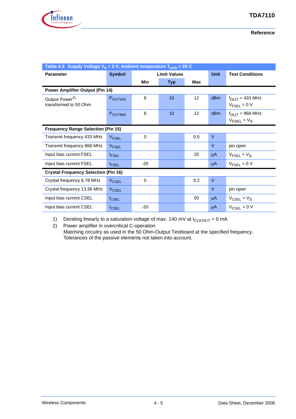**Reference**

| Table 4-3 Supply Voltage $V_S = 3 \overline{V}$ , Ambient temperature T <sub>amb</sub> = 25°C |                         |            |                     |     |             |                                                                 |
|-----------------------------------------------------------------------------------------------|-------------------------|------------|---------------------|-----|-------------|-----------------------------------------------------------------|
| <b>Parameter</b>                                                                              | <b>Symbol</b>           |            | <b>Limit Values</b> |     | <b>Unit</b> | <b>Test Conditions</b>                                          |
|                                                                                               |                         | <b>Min</b> | <b>Typ</b>          | Max |             |                                                                 |
| <b>Power Amplifier Output (Pin 14)</b>                                                        |                         |            |                     |     |             |                                                                 |
| Output Power <sup>2)</sup><br>transformed to 50 Ohm                                           | P <sub>OUT433</sub>     | 8          | 10                  | 12  | dBm         | $f_{\text{OUT}} = 433 \text{ MHz}$<br>$V_{\text{FSEL}} = 0 V$   |
|                                                                                               | POUT868                 | 8          | 10                  | 12  | dBm         | $f_{OUT} = 868 \text{ MHz}$<br>$V_{\text{FSEL}} = V_{\text{S}}$ |
| <b>Frequency Range Selection (Pin 15)</b>                                                     |                         |            |                     |     |             |                                                                 |
| Transmit frequency 433 MHz                                                                    | <b>V<sub>FSEL</sub></b> | 0          |                     | 0.5 | $\vee$      |                                                                 |
| Transmit frequency 868 MHz                                                                    | <b>V<sub>FSEL</sub></b> |            |                     |     | $\vee$      | pin open                                                        |
| Input bias current FSEL                                                                       | <b>IFSEL</b>            |            |                     | 25  | μA          | $V_{\text{FSEL}} = V_{\text{S}}$                                |
| Input bias current FSEL                                                                       | <b>IFSEL</b>            | $-20$      |                     |     | μA          | $V_{\text{FSEL}} = 0 V$                                         |
| <b>Crystal Frequency Selection (Pin 16)</b>                                                   |                         |            |                     |     |             |                                                                 |
| Crystal frequency 6.78 MHz                                                                    | V <sub>CSEL</sub>       | $\Omega$   |                     | 0.2 | $\vee$      |                                                                 |
| Crystal frequency 13.56 MHz                                                                   | V <sub>CSEL</sub>       |            |                     |     | $\vee$      | pin open                                                        |
| Input bias current CSEL                                                                       | <b>I</b> CSEL           |            |                     | 50  | μA          | $V_{CSEL} = V_S$                                                |
| Input bias current CSEL                                                                       | <b>I</b> CSEL           | $-20$      |                     |     | μA          | $V_{CSEL} = 0 V$                                                |

1) Derating linearly to a saturation voltage of max. 140 mV at  $I_{CLKOUT} = 0$  mA<br>2) Power amplifier in overcritical C-operation

2) Power amplifier in overcritical C-operation Matching circuitry as used in the 50 Ohm-Output Testboard at the specified frequency. Tolerances of the passive elements not taken into account.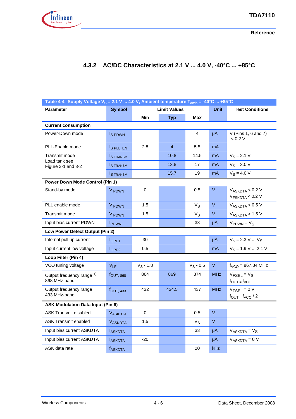

## **4.3.2 AC/DC Characteristics at 2.1 V ... 4.0 V, -40°C ... +85°C**

<span id="page-36-0"></span>

| Table 4-4 Supply Voltage V <sub>S</sub> = 2.1 V  4.0 V, Ambient temperature T <sub>amb</sub> = -40°C  +85°C |                       |             |                     |             |              |                                                         |
|-------------------------------------------------------------------------------------------------------------|-----------------------|-------------|---------------------|-------------|--------------|---------------------------------------------------------|
| <b>Parameter</b>                                                                                            | <b>Symbol</b>         |             | <b>Limit Values</b> |             | <b>Unit</b>  | <b>Test Conditions</b>                                  |
|                                                                                                             |                       | <b>Min</b>  | <b>Typ</b>          | Max         |              |                                                         |
| <b>Current consumption</b>                                                                                  |                       |             |                     |             |              |                                                         |
| Power-Down mode                                                                                             | I <sub>S</sub> PDWN   |             |                     | 4           | $\mu A$      | $V$ (Pins 1, 6 and 7)<br>< 0.2 V                        |
| PLL-Enable mode                                                                                             | I <sub>S PLL_EN</sub> | 2.8         | $\overline{4}$      | 5.5         | mA           |                                                         |
| Transmit mode                                                                                               | <b>IS TRANSM</b>      |             | 10.8                | 14.5        | <b>mA</b>    | $V_S = 2.1 V$                                           |
| Load tank see<br>Figure 3-1 and 3-2                                                                         | <b>IS TRANSM</b>      |             | 13.8                | 17          | <b>mA</b>    | $V_S = 3.0 V$                                           |
|                                                                                                             | <b>IS TRANSM</b>      |             | 15.7                | 19          | mA           | $V_S = 4.0 V$                                           |
| <b>Power Down Mode Control (Pin 1)</b>                                                                      |                       |             |                     |             |              |                                                         |
| Stand-by mode                                                                                               | V PDWN                | $\Omega$    |                     | 0.5         | $\vee$       | $V_{ASKDTA}$ < 0.2 V<br>$V_{FSKDTA}$ < 0.2 V            |
| PLL enable mode                                                                                             | V PDWN                | 1.5         |                     | $V_S$       | $\vee$       | $V_{ASKDTA}$ < 0.5 V                                    |
| Transmit mode                                                                                               | V PDWN                | 1.5         |                     | $V_S$       | $\vee$       | $V_{ASKDTA}$ > 1.5 V                                    |
| Input bias current PDWN                                                                                     | <b>IPDWN</b>          |             |                     | 38          | μA           | $V_{\text{PDWN}} = V_{\text{S}}$                        |
| Low Power Detect Output (Pin 2)                                                                             |                       |             |                     |             |              |                                                         |
| Internal pull up current                                                                                    | $L_{PD1}$             | 30          |                     |             | $\mu A$      | $V_S = 2.3 V  V_S$                                      |
| Input current low voltage                                                                                   | $L_{PD2}$             | 0.5         |                     |             | mA           | $V_S = 1.9 V  2.1 V$                                    |
| Loop Filter (Pin 4)                                                                                         |                       |             |                     |             |              |                                                         |
| VCO tuning voltage                                                                                          | $V_{LF}$              | $V_S - 1.8$ |                     | $V_S - 0.5$ | $\mathsf{V}$ | $f_{VCO} = 867.84 \text{ MHz}$                          |
| Output frequency range 1)<br>868 MHz-band                                                                   | $f_{\text{OUT}, 868}$ | 864         | 869                 | 874         | <b>MHz</b>   | $V_{\text{FSFI}} = V_{\text{S}}$<br>$f_{OUT} = f_{VCO}$ |
| Output frequency range<br>433 MHz-band                                                                      | $f_{\text{OUT}, 433}$ | 432         | 434.5               | 437         | <b>MHz</b>   | $V_{\text{FSEL}} = 0 V$<br>$f_{OUT} = f_{VCO} / 2$      |
| <b>ASK Modulation Data Input (Pin 6)</b>                                                                    |                       |             |                     |             |              |                                                         |
| <b>ASK Transmit disabled</b>                                                                                | <b>VASKDTA</b>        | $\Omega$    |                     | 0.5         | $\vee$       |                                                         |
| <b>ASK Transmit enabled</b>                                                                                 | <b>VASKDTA</b>        | 1.5         |                     | $V_S$       | $\vee$       |                                                         |
| Input bias current ASKDTA                                                                                   | <b>IASKDTA</b>        |             |                     | 33          | μA           | $V_{ASKDTA} = V_S$                                      |
| Input bias current ASKDTA                                                                                   | <b>LASKDTA</b>        | $-20$       |                     |             | $\mu A$      | $V_{ASKDTA} = 0 V$                                      |
| ASK data rate                                                                                               | f <sub>ASKDTA</sub>   |             |                     | 20          | kHz          |                                                         |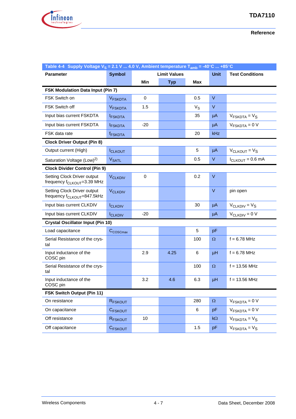

#### **Reference**

| Table 4-4 Supply Voltage V <sub>S</sub> = 2.1 V  4.0 V, Ambient temperature T <sub>amb</sub> = -40°C  +85°C |                           |             |                     |            |             |                        |  |  |  |  |
|-------------------------------------------------------------------------------------------------------------|---------------------------|-------------|---------------------|------------|-------------|------------------------|--|--|--|--|
| <b>Parameter</b>                                                                                            | <b>Symbol</b>             |             | <b>Limit Values</b> |            | <b>Unit</b> | <b>Test Conditions</b> |  |  |  |  |
|                                                                                                             |                           | <b>Min</b>  | <b>Typ</b>          | <b>Max</b> |             |                        |  |  |  |  |
| <b>FSK Modulation Data Input (Pin 7)</b>                                                                    |                           |             |                     |            |             |                        |  |  |  |  |
| FSK Switch on                                                                                               | <b>V<sub>FSKDTA</sub></b> | $\mathbf 0$ |                     | 0.5        | $\vee$      |                        |  |  |  |  |
| FSK Switch off                                                                                              | <b>V<sub>FSKDTA</sub></b> | 1.5         |                     | $V_S$      | $\vee$      |                        |  |  |  |  |
| Input bias current FSKDTA                                                                                   | <b>IFSKDTA</b>            |             |                     | 35         | $\mu$ A     | $V_{FSKDTA} = V_S$     |  |  |  |  |
| Input bias current FSKDTA                                                                                   | <b>IFSKDTA</b>            | $-20$       |                     |            | $\mu A$     | $V_{FSKDTA} = 0 V$     |  |  |  |  |
| FSK data rate                                                                                               | <b>fFSKDTA</b>            |             |                     | 20         | kHz         |                        |  |  |  |  |
| <b>Clock Driver Output (Pin 8)</b>                                                                          |                           |             |                     |            |             |                        |  |  |  |  |
| Output current (High)                                                                                       | <b>ICLKOUT</b>            |             |                     | 5          | $\mu A$     | $V_{CLKOUT} = V_S$     |  |  |  |  |
| Saturation Voltage (Low) <sup>2)</sup>                                                                      | V <sub>SATL</sub>         |             |                     | 0.5        | V           | $I_{CLKOUT} = 0.6$ mA  |  |  |  |  |
| <b>Clock Divider Control (Pin 9)</b>                                                                        |                           |             |                     |            |             |                        |  |  |  |  |
| Setting Clock Driver output<br>frequency $f_{CLKOUT} = 3.39$ MHz                                            | <b>V<sub>CLKDIV</sub></b> | $\mathbf 0$ |                     | 0.2        | $\vee$      |                        |  |  |  |  |
| Setting Clock Driver output<br>frequency $f_{CI KOUT} = 847.5$ kHz                                          | <b>V<sub>CLKDIV</sub></b> |             |                     |            | $\vee$      | pin open               |  |  |  |  |
| Input bias current CLKDIV                                                                                   | <b>ICLKDIV</b>            |             |                     | 30         | $\mu A$     | $V_{CLKDIV} = V_S$     |  |  |  |  |
| Input bias current CLKDIV                                                                                   | <b>ICLKDIV</b>            | $-20$       |                     |            | μA          | $V_{CLKDIV} = 0 V$     |  |  |  |  |
| <b>Crystal Oscillator Input (Pin 10)</b>                                                                    |                           |             |                     |            |             |                        |  |  |  |  |
| Load capacitance                                                                                            | C <sub>COSCmax</sub>      |             |                     | 5          | pF          |                        |  |  |  |  |
| Serial Resistance of the crys-<br>tal                                                                       |                           |             |                     | 100        | $\Omega$    | $f = 6.78$ MHz         |  |  |  |  |
| Input inductance of the<br>COSC pin                                                                         |                           | 2.9         | 4.25                | 6          | $\mu$ H     | $f = 6.78$ MHz         |  |  |  |  |
| Serial Resistance of the crys-<br>tal                                                                       |                           |             |                     | 100        | $\Omega$    | $f = 13.56$ MHz        |  |  |  |  |
| Input inductance of the<br>COSC pin                                                                         |                           | 3.2         | 4.6                 | 6.3        | μH          | $f = 13.56$ MHz        |  |  |  |  |
| <b>FSK Switch Output (Pin 11)</b>                                                                           |                           |             |                     |            |             |                        |  |  |  |  |
| On resistance                                                                                               | R <sub>FSKOUT</sub>       |             |                     | 280        | $\Omega$    | $V_{FSKDTA} = 0 V$     |  |  |  |  |
| On capacitance                                                                                              | CFSKOUT                   |             |                     | 6          | pF          | $V_{FSKDTA} = 0 V$     |  |  |  |  |
| Off resistance                                                                                              | R <sub>FSKOUT</sub>       | 10          |                     |            | $k\Omega$   | $V_{FSKDTA} = V_S$     |  |  |  |  |
| Off capacitance                                                                                             | C <sub>FSKOUT</sub>       |             |                     | 1.5        | pF          | $V_{FSKDTA} = V_S$     |  |  |  |  |